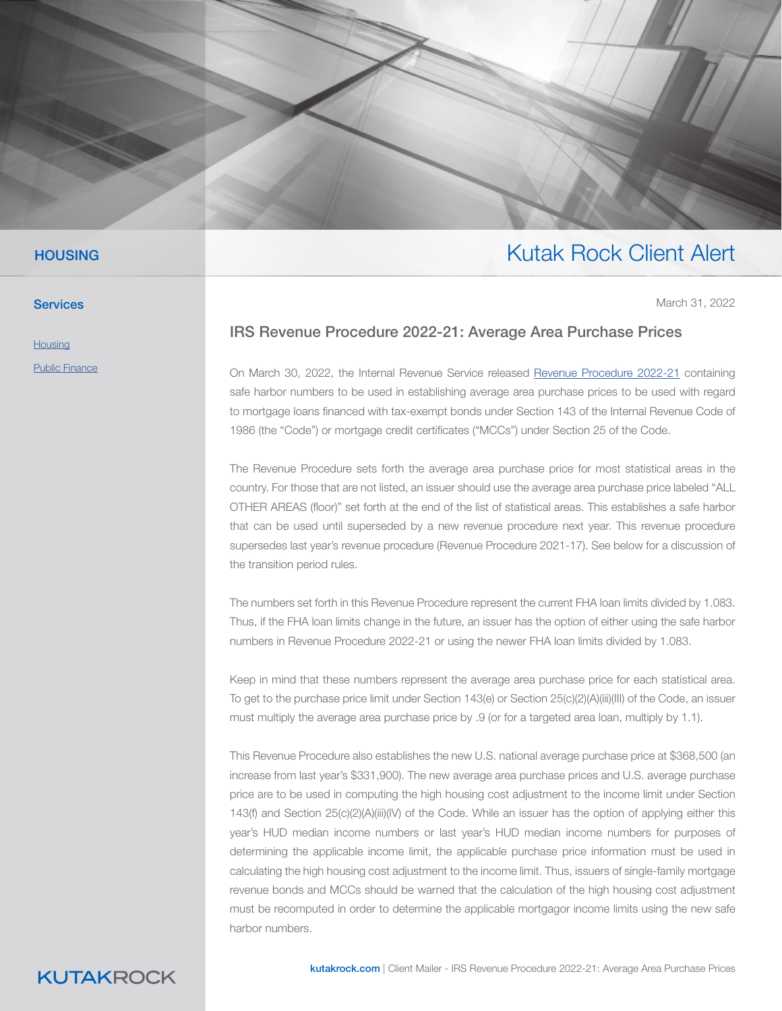

### **HOUSING**

**Services** 

**[Housing](https://www.kutakrock.com/services/practices/housing)** 

[Public Finance](https://www.kutakrock.com/services/practices/public-finance)

## IRS Revenue Procedure 2022-21: Average Area Purchase Prices

On March 30, 2022, the Internal Revenue Service released [Revenue Procedure 2022-21](https://urldefense.com/v3/__https:/lnks.gd/l/eyJhbGciOiJIUzI1NiJ9.eyJidWxsZXRpbl9saW5rX2lkIjoxMTcsInVyaSI6ImJwMjpjbGljayIsImJ1bGxldGluX2lkIjoiMjAyMjAzMzAuNTU2ODA1ODEiLCJ1cmwiOiJodHRwczovL3d3dy5pcnMuZ292L3B1Yi9pcnMtZHJvcC9ycC0yMi0yMS5wZGYifQ.Xaa-6JBIq3Uk1r5nG40qoCodPUhOv0NUi281_tWVnM8/s/867605672/br/128871140823-l__;!!I3TYrsrKJ_s!JpzSZIcivGudOqhnS63CnBRRXHcNUxJ4ADmKJkzkNHlRDc0t7UFfequVbBsJ8rOMb7L1h6w$) containing safe harbor numbers to be used in establishing average area purchase prices to be used with regard to mortgage loans financed with tax-exempt bonds under Section 143 of the Internal Revenue Code of 1986 (the "Code") or mortgage credit certificates ("MCCs") under Section 25 of the Code.

March 31, 2022

Kutak Rock Client Alert

The Revenue Procedure sets forth the average area purchase price for most statistical areas in the country. For those that are not listed, an issuer should use the average area purchase price labeled "ALL OTHER AREAS (floor)" set forth at the end of the list of statistical areas. This establishes a safe harbor that can be used until superseded by a new revenue procedure next year. This revenue procedure supersedes last year's revenue procedure (Revenue Procedure 2021-17). See below for a discussion of the transition period rules.

The numbers set forth in this Revenue Procedure represent the current FHA loan limits divided by 1.083. Thus, if the FHA loan limits change in the future, an issuer has the option of either using the safe harbor numbers in Revenue Procedure 2022-21 or using the newer FHA loan limits divided by 1.083.

Keep in mind that these numbers represent the average area purchase price for each statistical area. To get to the purchase price limit under Section 143(e) or Section 25(c)(2)(A)(iii)(III) of the Code, an issuer must multiply the average area purchase price by .9 (or for a targeted area loan, multiply by 1.1).

This Revenue Procedure also establishes the new U.S. national average purchase price at \$368,500 (an increase from last year's \$331,900). The new average area purchase prices and U.S. average purchase price are to be used in computing the high housing cost adjustment to the income limit under Section 143(f) and Section 25(c)(2)(A)(iii)(IV) of the Code. While an issuer has the option of applying either this year's HUD median income numbers or last year's HUD median income numbers for purposes of determining the applicable income limit, the applicable purchase price information must be used in calculating the high housing cost adjustment to the income limit. Thus, issuers of single-family mortgage revenue bonds and MCCs should be warned that the calculation of the high housing cost adjustment must be recomputed in order to determine the applicable mortgagor income limits using the new safe harbor numbers.

## **KUTAKROCK**